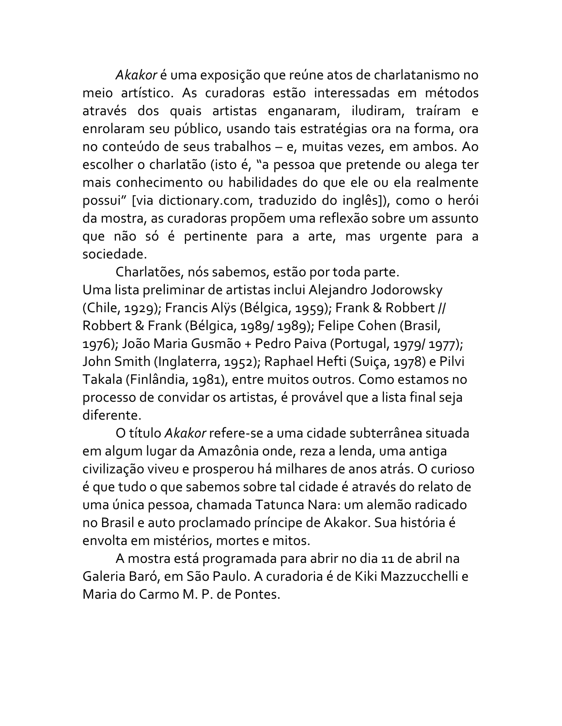*Akakor* é uma exposição que reúne atos de charlatanismo no meio artístico. As curadoras estão interessadas em métodos através dos quais artistas enganaram, iludiram, traíram e enrolaram seu público, usando tais estratégias ora na forma, ora no conteúdo de seus trabalhos – e, muitas vezes, em ambos. Ao escolher o charlatão (isto é, "a pessoa que pretende ou alega ter mais conhecimento ou habilidades do que ele ou ela realmente possui" [via dictionary.com, traduzido do inglês]), como o herói da mostra, as curadoras propõem uma reflexão sobre um assunto que não só é pertinente para a arte, mas urgente para a sociedade. 

Charlatões, nós sabemos, estão por toda parte. Uma lista preliminar de artistas inclui Alejandro Jodorowsky (Chile, 1929); Francis Alÿs (Bélgica, 1959); Frank & Robbert // Robbert & Frank (Bélgica, 1989/ 1989); Felipe Cohen (Brasil, 1976); João Maria Gusmão + Pedro Paiva (Portugal, 1979/ 1977); John Smith (Inglaterra, 1952); Raphael Hefti (Suiça, 1978) e Pilvi Takala (Finlândia, 1981), entre muitos outros. Como estamos no processo de convidar os artistas, é provável que a lista final seja diferente.

O título *Akakor* refere-se a uma cidade subterrânea situada em algum lugar da Amazônia onde, reza a lenda, uma antiga civilização viveu e prosperou há milhares de anos atrás. O curioso é que tudo o que sabemos sobre tal cidade é através do relato de uma única pessoa, chamada Tatunca Nara: um alemão radicado no Brasil e auto proclamado príncipe de Akakor. Sua história é envolta em mistérios, mortes e mitos.

A mostra está programada para abrir no dia 11 de abril na Galeria Baró, em São Paulo. A curadoria é de Kiki Mazzucchelli e Maria do Carmo M. P. de Pontes.